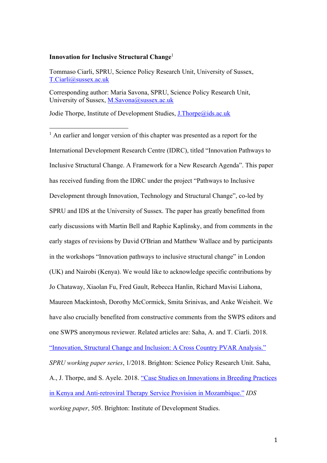### **Innovation for Inclusive Structural Change**<sup>1</sup>

Tommaso Ciarli, SPRU, Science Policy Research Unit, University of Sussex, T.Ciarli@sussex.ac.uk

Corresponding author: Maria Savona, SPRU, Science Policy Research Unit, University of Sussex, M.Savona@sussex.ac.uk

Jodie Thorpe, Institute of Development Studies, J.Thorpe@ids.ac.uk

<sup>1</sup> An earlier and longer version of this chapter was presented as a report for the International Development Research Centre (IDRC), titled "Innovation Pathways to Inclusive Structural Change. A Framework for a New Research Agenda". This paper has received funding from the IDRC under the project "Pathways to Inclusive Development through Innovation, Technology and Structural Change", co-led by SPRU and IDS at the University of Sussex. The paper has greatly benefitted from early discussions with Martin Bell and Raphie Kaplinsky, and from comments in the early stages of revisions by David O'Brian and Matthew Wallace and by participants in the workshops "Innovation pathways to inclusive structural change" in London (UK) and Nairobi (Kenya). We would like to acknowledge specific contributions by Jo Chataway, Xiaolan Fu, Fred Gault, Rebecca Hanlin, Richard Mavisi Liahona, Maureen Mackintosh, Dorothy McCormick, Smita Srinivas, and Anke Weisheit. We have also crucially benefited from constructive comments from the SWPS editors and one SWPS anonymous reviewer. Related articles are: Saha, A. and T. Ciarli. 2018. "Innovation, Structural Change and Inclusion: A Cross Country PVAR Analysis." *SPRU working paper series*, 1/2018. Brighton: Science Policy Research Unit. Saha, A., J. Thorpe, and S. Ayele. 2018. "Case Studies on Innovations in Breeding Practices in Kenya and Anti-retroviral Therapy Service Provision in Mozambique." *IDS working paper*, 505. Brighton: Institute of Development Studies.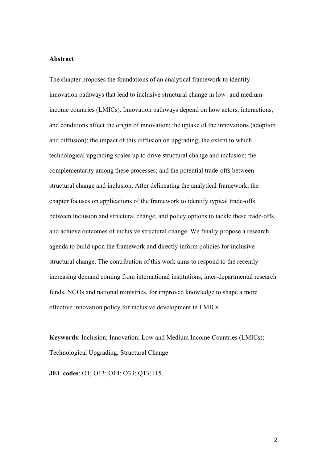# **Abstract**

The chapter proposes the foundations of an analytical framework to identify innovation pathways that lead to inclusive structural change in low- and mediumincome countries (LMICs). Innovation pathways depend on how actors, interactions, and conditions affect the origin of innovation; the uptake of the innovations (adoption and diffusion); the impact of this diffusion on upgrading; the extent to which technological upgrading scales up to drive structural change and inclusion; the complementarity among these processes; and the potential trade-offs between structural change and inclusion. After delineating the analytical framework, the chapter focuses on applications of the framework to identify typical trade-offs between inclusion and structural change, and policy options to tackle these trade-offs and achieve outcomes of inclusive structural change. We finally propose a research agenda to build upon the framework and directly inform policies for inclusive structural change. The contribution of this work aims to respond to the recently increasing demand coming from international institutions, inter-departmental research funds, NGOs and national ministries, for improved knowledge to shape a more effective innovation policy for inclusive development in LMICs.

**Keywords**: Inclusion; Innovation; Low and Medium Income Countries (LMICs); Technological Upgrading; Structural Change

**JEL codes**: O1; O13; O14; O33; Q13; I15.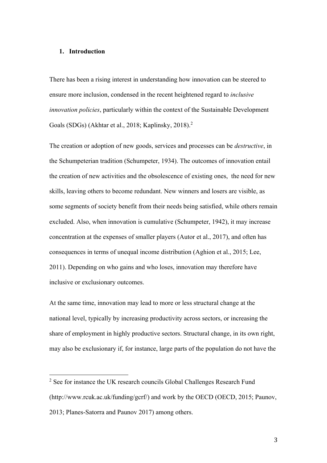# **1. Introduction**

There has been a rising interest in understanding how innovation can be steered to ensure more inclusion, condensed in the recent heightened regard to *inclusive innovation policies*, particularly within the context of the Sustainable Development Goals (SDGs) (Akhtar et al., 2018; Kaplinsky, 2018). 2

The creation or adoption of new goods, services and processes can be *destructive*, in the Schumpeterian tradition (Schumpeter, 1934). The outcomes of innovation entail the creation of new activities and the obsolescence of existing ones, the need for new skills, leaving others to become redundant. New winners and losers are visible, as some segments of society benefit from their needs being satisfied, while others remain excluded. Also, when innovation is cumulative (Schumpeter, 1942), it may increase concentration at the expenses of smaller players (Autor et al., 2017), and often has consequences in terms of unequal income distribution (Aghion et al., 2015; Lee, 2011). Depending on who gains and who loses, innovation may therefore have inclusive or exclusionary outcomes.

At the same time, innovation may lead to more or less structural change at the national level, typically by increasing productivity across sectors, or increasing the share of employment in highly productive sectors. Structural change, in its own right, may also be exclusionary if, for instance, large parts of the population do not have the

<sup>&</sup>lt;sup>2</sup> See for instance the UK research councils Global Challenges Research Fund (http://www.rcuk.ac.uk/funding/gcrf/) and work by the OECD (OECD, 2015; Paunov, 2013; Planes-Satorra and Paunov 2017) among others.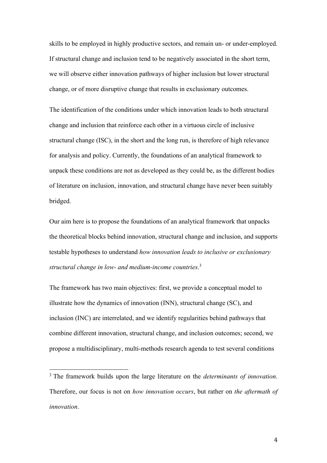skills to be employed in highly productive sectors, and remain un- or under-employed. If structural change and inclusion tend to be negatively associated in the short term, we will observe either innovation pathways of higher inclusion but lower structural change, or of more disruptive change that results in exclusionary outcomes.

The identification of the conditions under which innovation leads to both structural change and inclusion that reinforce each other in a virtuous circle of inclusive structural change (ISC), in the short and the long run, is therefore of high relevance for analysis and policy. Currently, the foundations of an analytical framework to unpack these conditions are not as developed as they could be, as the different bodies of literature on inclusion, innovation, and structural change have never been suitably bridged.

Our aim here is to propose the foundations of an analytical framework that unpacks the theoretical blocks behind innovation, structural change and inclusion, and supports testable hypotheses to understand *how innovation leads to inclusive or exclusionary structural change in low- and medium-income countries*. 3

The framework has two main objectives: first, we provide a conceptual model to illustrate how the dynamics of innovation (INN), structural change (SC), and inclusion (INC) are interrelated, and we identify regularities behind pathways that combine different innovation, structural change, and inclusion outcomes; second, we propose a multidisciplinary, multi-methods research agenda to test several conditions

<sup>3</sup> The framework builds upon the large literature on the *determinants of innovation*. Therefore, our focus is not on *how innovation occurs*, but rather on *the aftermath of innovation*.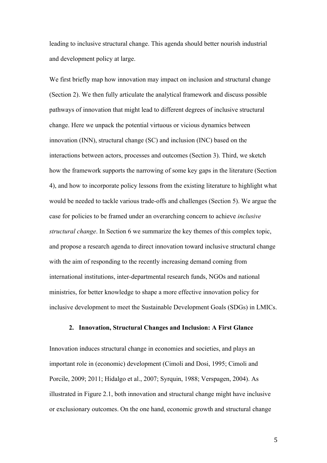leading to inclusive structural change. This agenda should better nourish industrial and development policy at large.

We first briefly map how innovation may impact on inclusion and structural change (Section 2). We then fully articulate the analytical framework and discuss possible pathways of innovation that might lead to different degrees of inclusive structural change. Here we unpack the potential virtuous or vicious dynamics between innovation (INN), structural change (SC) and inclusion (INC) based on the interactions between actors, processes and outcomes (Section 3). Third, we sketch how the framework supports the narrowing of some key gaps in the literature (Section 4), and how to incorporate policy lessons from the existing literature to highlight what would be needed to tackle various trade-offs and challenges (Section 5). We argue the case for policies to be framed under an overarching concern to achieve *inclusive structural change*. In Section 6 we summarize the key themes of this complex topic, and propose a research agenda to direct innovation toward inclusive structural change with the aim of responding to the recently increasing demand coming from international institutions, inter-departmental research funds, NGOs and national ministries, for better knowledge to shape a more effective innovation policy for inclusive development to meet the Sustainable Development Goals (SDGs) in LMICs.

# **2. Innovation, Structural Changes and Inclusion: A First Glance**

Innovation induces structural change in economies and societies, and plays an important role in (economic) development (Cimoli and Dosi, 1995; Cimoli and Porcile, 2009; 2011; Hidalgo et al., 2007; Syrquin, 1988; Verspagen, 2004). As illustrated in Figure 2.1, both innovation and structural change might have inclusive or exclusionary outcomes. On the one hand, economic growth and structural change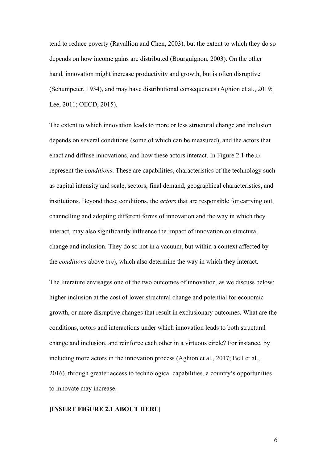tend to reduce poverty (Ravallion and Chen, 2003), but the extent to which they do so depends on how income gains are distributed (Bourguignon, 2003). On the other hand, innovation might increase productivity and growth, but is often disruptive (Schumpeter, 1934), and may have distributional consequences (Aghion et al., 2019; Lee, 2011; OECD, 2015).

The extent to which innovation leads to more or less structural change and inclusion depends on several conditions (some of which can be measured), and the actors that enact and diffuse innovations, and how these actors interact. In Figure 2.1 the  $x_i$ represent the *conditions*. These are capabilities, characteristics of the technology such as capital intensity and scale, sectors, final demand, geographical characteristics, and institutions. Beyond these conditions, the *actors* that are responsible for carrying out, channelling and adopting different forms of innovation and the way in which they interact, may also significantly influence the impact of innovation on structural change and inclusion. They do so not in a vacuum, but within a context affected by the *conditions* above  $(x_N)$ , which also determine the way in which they interact.

The literature envisages one of the two outcomes of innovation, as we discuss below: higher inclusion at the cost of lower structural change and potential for economic growth, or more disruptive changes that result in exclusionary outcomes. What are the conditions, actors and interactions under which innovation leads to both structural change and inclusion, and reinforce each other in a virtuous circle? For instance, by including more actors in the innovation process (Aghion et al., 2017; Bell et al., 2016), through greater access to technological capabilities, a country's opportunities to innovate may increase.

# **[INSERT FIGURE 2.1 ABOUT HERE]**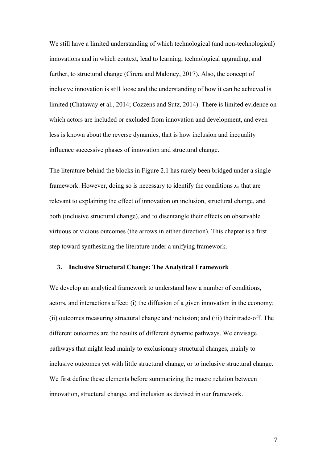We still have a limited understanding of which technological (and non-technological) innovations and in which context, lead to learning, technological upgrading, and further, to structural change (Cirera and Maloney, 2017). Also, the concept of inclusive innovation is still loose and the understanding of how it can be achieved is limited (Chataway et al., 2014; Cozzens and Sutz, 2014). There is limited evidence on which actors are included or excluded from innovation and development, and even less is known about the reverse dynamics, that is how inclusion and inequality influence successive phases of innovation and structural change.

The literature behind the blocks in Figure 2.1 has rarely been bridged under a single framework. However, doing so is necessary to identify the conditions  $x_n$  that are relevant to explaining the effect of innovation on inclusion, structural change, and both (inclusive structural change), and to disentangle their effects on observable virtuous or vicious outcomes (the arrows in either direction). This chapter is a first step toward synthesizing the literature under a unifying framework.

## **3. Inclusive Structural Change: The Analytical Framework**

We develop an analytical framework to understand how a number of conditions, actors, and interactions affect: (i) the diffusion of a given innovation in the economy; (ii) outcomes measuring structural change and inclusion; and (iii) their trade-off. The different outcomes are the results of different dynamic pathways. We envisage pathways that might lead mainly to exclusionary structural changes, mainly to inclusive outcomes yet with little structural change, or to inclusive structural change. We first define these elements before summarizing the macro relation between innovation, structural change, and inclusion as devised in our framework.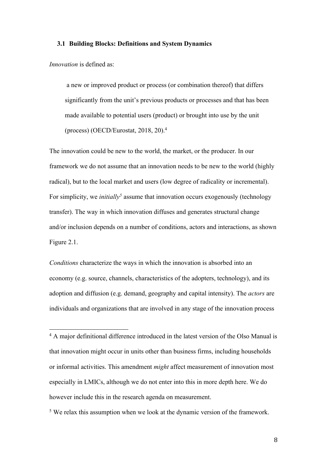#### **3.1 Building Blocks: Definitions and System Dynamics**

*Innovation* is defined as:

a new or improved product or process (or combination thereof) that differs significantly from the unit's previous products or processes and that has been made available to potential users (product) or brought into use by the unit (process) (OECD/Eurostat, 2018, 20). 4

The innovation could be new to the world, the market, or the producer. In our framework we do not assume that an innovation needs to be new to the world (highly radical), but to the local market and users (low degree of radicality or incremental). For simplicity, we *initially* assume that innovation occurs exogenously (technology transfer). The way in which innovation diffuses and generates structural change and/or inclusion depends on a number of conditions, actors and interactions, as shown Figure 2.1.

*Conditions* characterize the ways in which the innovation is absorbed into an economy (e.g. source, channels, characteristics of the adopters, technology), and its adoption and diffusion (e.g. demand, geography and capital intensity). The *actors* are individuals and organizations that are involved in any stage of the innovation process

<sup>5</sup> We relax this assumption when we look at the dynamic version of the framework.

<sup>&</sup>lt;sup>4</sup> A major definitional difference introduced in the latest version of the Olso Manual is that innovation might occur in units other than business firms, including households or informal activities. This amendment *might* affect measurement of innovation most especially in LMICs, although we do not enter into this in more depth here. We do however include this in the research agenda on measurement.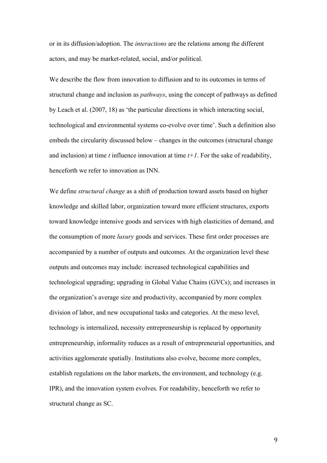or in its diffusion/adoption. The *interactions* are the relations among the different actors, and may be market-related, social, and/or political.

We describe the flow from innovation to diffusion and to its outcomes in terms of structural change and inclusion as *pathways*, using the concept of pathways as defined by Leach et al. (2007, 18) as 'the particular directions in which interacting social, technological and environmental systems co-evolve over time'. Such a definition also embeds the circularity discussed below – changes in the outcomes (structural change and inclusion) at time  $t$  influence innovation at time  $t+1$ . For the sake of readability, henceforth we refer to innovation as INN.

We define *structural change* as a shift of production toward assets based on higher knowledge and skilled labor, organization toward more efficient structures, exports toward knowledge intensive goods and services with high elasticities of demand, and the consumption of more *luxury* goods and services. These first order processes are accompanied by a number of outputs and outcomes. At the organization level these outputs and outcomes may include: increased technological capabilities and technological upgrading; upgrading in Global Value Chains (GVCs); and increases in the organization's average size and productivity, accompanied by more complex division of labor, and new occupational tasks and categories. At the meso level, technology is internalized, necessity entrepreneurship is replaced by opportunity entrepreneurship, informality reduces as a result of entrepreneurial opportunities, and activities agglomerate spatially. Institutions also evolve, become more complex, establish regulations on the labor markets, the environment, and technology (e.g. IPR), and the innovation system evolves. For readability, henceforth we refer to structural change as SC.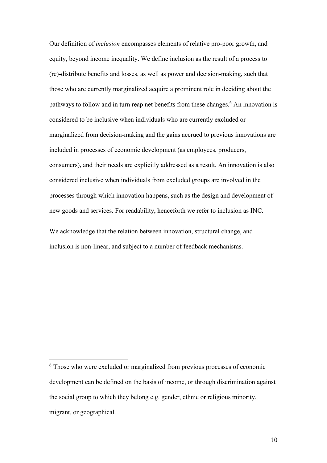Our definition of *inclusion* encompasses elements of relative pro-poor growth, and equity, beyond income inequality. We define inclusion as the result of a process to (re)-distribute benefits and losses, as well as power and decision-making, such that those who are currently marginalized acquire a prominent role in deciding about the pathways to follow and in turn reap net benefits from these changes.<sup>6</sup> An innovation is considered to be inclusive when individuals who are currently excluded or marginalized from decision-making and the gains accrued to previous innovations are included in processes of economic development (as employees, producers, consumers), and their needs are explicitly addressed as a result. An innovation is also considered inclusive when individuals from excluded groups are involved in the processes through which innovation happens, such as the design and development of new goods and services. For readability, henceforth we refer to inclusion as INC.

We acknowledge that the relation between innovation, structural change, and inclusion is non-linear, and subject to a number of feedback mechanisms.

<sup>6</sup> Those who were excluded or marginalized from previous processes of economic development can be defined on the basis of income, or through discrimination against the social group to which they belong e.g. gender, ethnic or religious minority, migrant, or geographical.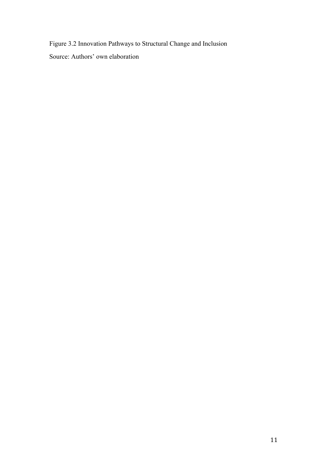Figure 3.2 Innovation Pathways to Structural Change and Inclusion

Source: Authors' own elaboration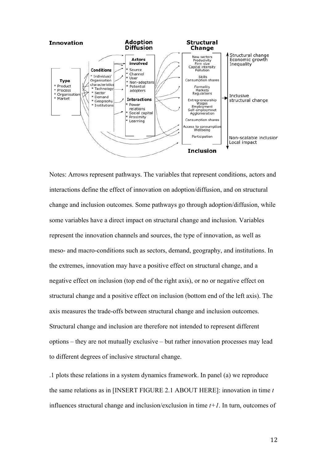

Notes: Arrows represent pathways. The variables that represent conditions, actors and interactions define the effect of innovation on adoption/diffusion, and on structural change and inclusion outcomes. Some pathways go through adoption/diffusion, while some variables have a direct impact on structural change and inclusion. Variables represent the innovation channels and sources, the type of innovation, as well as meso- and macro-conditions such as sectors, demand, geography, and institutions. In the extremes, innovation may have a positive effect on structural change, and a negative effect on inclusion (top end of the right axis), or no or negative effect on structural change and a positive effect on inclusion (bottom end of the left axis). The axis measures the trade-offs between structural change and inclusion outcomes. Structural change and inclusion are therefore not intended to represent different options – they are not mutually exclusive – but rather innovation processes may lead to different degrees of inclusive structural change.

.1 plots these relations in a system dynamics framework. In panel (a) we reproduce the same relations as in [INSERT FIGURE 2.1 ABOUT HERE]: innovation in time *t* influences structural change and inclusion/exclusion in time *t+1*. In turn, outcomes of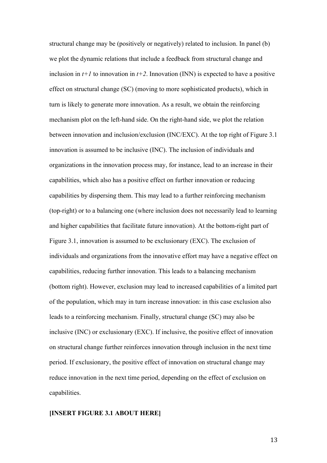structural change may be (positively or negatively) related to inclusion. In panel (b) we plot the dynamic relations that include a feedback from structural change and inclusion in  $t+1$  to innovation in  $t+2$ . Innovation (INN) is expected to have a positive effect on structural change (SC) (moving to more sophisticated products), which in turn is likely to generate more innovation. As a result, we obtain the reinforcing mechanism plot on the left-hand side. On the right-hand side, we plot the relation between innovation and inclusion/exclusion (INC/EXC). At the top right of Figure 3.1 innovation is assumed to be inclusive (INC). The inclusion of individuals and organizations in the innovation process may, for instance, lead to an increase in their capabilities, which also has a positive effect on further innovation or reducing capabilities by dispersing them. This may lead to a further reinforcing mechanism (top-right) or to a balancing one (where inclusion does not necessarily lead to learning and higher capabilities that facilitate future innovation). At the bottom-right part of Figure 3.1, innovation is assumed to be exclusionary (EXC). The exclusion of individuals and organizations from the innovative effort may have a negative effect on capabilities, reducing further innovation. This leads to a balancing mechanism (bottom right). However, exclusion may lead to increased capabilities of a limited part of the population, which may in turn increase innovation: in this case exclusion also leads to a reinforcing mechanism. Finally, structural change (SC) may also be inclusive (INC) or exclusionary (EXC). If inclusive, the positive effect of innovation on structural change further reinforces innovation through inclusion in the next time period. If exclusionary, the positive effect of innovation on structural change may reduce innovation in the next time period, depending on the effect of exclusion on capabilities.

# **[INSERT FIGURE 3.1 ABOUT HERE]**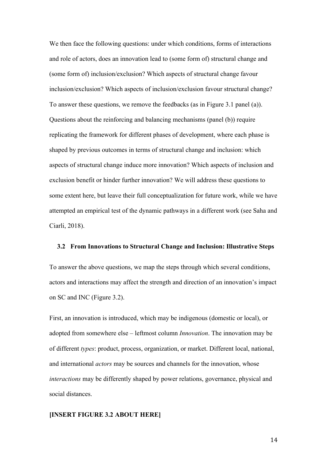We then face the following questions: under which conditions, forms of interactions and role of actors, does an innovation lead to (some form of) structural change and (some form of) inclusion/exclusion? Which aspects of structural change favour inclusion/exclusion? Which aspects of inclusion/exclusion favour structural change? To answer these questions, we remove the feedbacks (as in Figure 3.1 panel (a)). Questions about the reinforcing and balancing mechanisms (panel (b)) require replicating the framework for different phases of development, where each phase is shaped by previous outcomes in terms of structural change and inclusion: which aspects of structural change induce more innovation? Which aspects of inclusion and exclusion benefit or hinder further innovation? We will address these questions to some extent here, but leave their full conceptualization for future work, while we have attempted an empirical test of the dynamic pathways in a different work (see Saha and Ciarli, 2018).

#### **3.2 From Innovations to Structural Change and Inclusion: Illustrative Steps**

To answer the above questions, we map the steps through which several conditions, actors and interactions may affect the strength and direction of an innovation's impact on SC and INC (Figure 3.2).

First, an innovation is introduced, which may be indigenous (domestic or local), or adopted from somewhere else – leftmost column *Innovation*. The innovation may be of different *types*: product, process, organization, or market. Different local, national, and international *actors* may be sources and channels for the innovation, whose *interactions* may be differently shaped by power relations, governance, physical and social distances.

# **[INSERT FIGURE 3.2 ABOUT HERE]**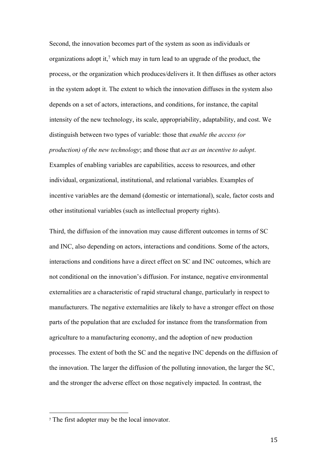Second, the innovation becomes part of the system as soon as individuals or organizations adopt it,<sup>7</sup> which may in turn lead to an upgrade of the product, the process, or the organization which produces/delivers it. It then diffuses as other actors in the system adopt it. The extent to which the innovation diffuses in the system also depends on a set of actors, interactions, and conditions, for instance, the capital intensity of the new technology, its scale, appropriability, adaptability, and cost. We distinguish between two types of variable: those that *enable the access (or production) of the new technology*; and those that *act as an incentive to adopt*. Examples of enabling variables are capabilities, access to resources, and other individual, organizational, institutional, and relational variables. Examples of incentive variables are the demand (domestic or international), scale, factor costs and other institutional variables (such as intellectual property rights).

Third, the diffusion of the innovation may cause different outcomes in terms of SC and INC, also depending on actors, interactions and conditions. Some of the actors, interactions and conditions have a direct effect on SC and INC outcomes, which are not conditional on the innovation's diffusion. For instance, negative environmental externalities are a characteristic of rapid structural change, particularly in respect to manufacturers. The negative externalities are likely to have a stronger effect on those parts of the population that are excluded for instance from the transformation from agriculture to a manufacturing economy, and the adoption of new production processes. The extent of both the SC and the negative INC depends on the diffusion of the innovation. The larger the diffusion of the polluting innovation, the larger the SC, and the stronger the adverse effect on those negatively impacted. In contrast, the

<sup>7</sup> The first adopter may be the local innovator.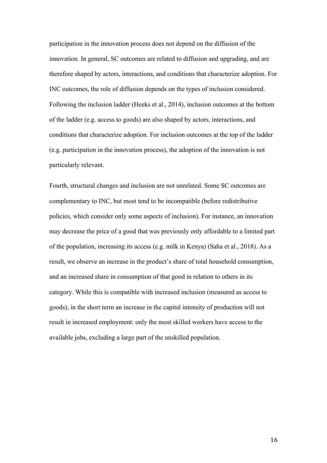participation in the innovation process does not depend on the diffusion of the innovation. In general, SC outcomes are related to diffusion and upgrading, and are therefore shaped by actors, interactions, and conditions that characterize adoption. For INC outcomes, the role of diffusion depends on the types of inclusion considered. Following the inclusion ladder (Heeks et al., 2014), inclusion outcomes at the bottom of the ladder (e.g. access to goods) are also shaped by actors, interactions, and conditions that characterize adoption. For inclusion outcomes at the top of the ladder (e.g. participation in the innovation process), the adoption of the innovation is not particularly relevant.

Fourth, structural changes and inclusion are not unrelated. Some SC outcomes are complementary to INC, but most tend to be incompatible (before redistributive policies, which consider only some aspects of inclusion). For instance, an innovation may decrease the price of a good that was previously only affordable to a limited part of the population, increasing its access (e.g. milk in Kenya) (Saha et al., 2018). As a result, we observe an increase in the product's share of total household consumption, and an increased share in consumption of that good in relation to others in its category. While this is compatible with increased inclusion (measured as access to goods), in the short term an increase in the capital intensity of production will not result in increased employment: only the most skilled workers have access to the available jobs, excluding a large part of the unskilled population.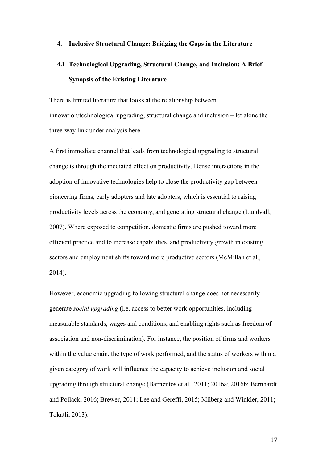# **4. Inclusive Structural Change: Bridging the Gaps in the Literature**

# **4.1 Technological Upgrading, Structural Change, and Inclusion: A Brief Synopsis of the Existing Literature**

There is limited literature that looks at the relationship between innovation/technological upgrading, structural change and inclusion – let alone the three-way link under analysis here.

A first immediate channel that leads from technological upgrading to structural change is through the mediated effect on productivity. Dense interactions in the adoption of innovative technologies help to close the productivity gap between pioneering firms, early adopters and late adopters, which is essential to raising productivity levels across the economy, and generating structural change (Lundvall, 2007). Where exposed to competition, domestic firms are pushed toward more efficient practice and to increase capabilities, and productivity growth in existing sectors and employment shifts toward more productive sectors (McMillan et al., 2014).

However, economic upgrading following structural change does not necessarily generate *social upgrading* (i.e. access to better work opportunities, including measurable standards, wages and conditions, and enabling rights such as freedom of association and non-discrimination). For instance, the position of firms and workers within the value chain, the type of work performed, and the status of workers within a given category of work will influence the capacity to achieve inclusion and social upgrading through structural change (Barrientos et al., 2011; 2016a; 2016b; Bernhardt and Pollack, 2016; Brewer, 2011; Lee and Gereffi, 2015; Milberg and Winkler, 2011; Tokatli, 2013).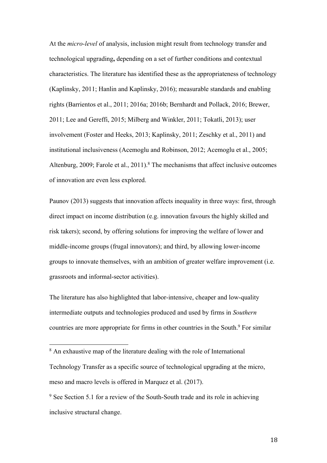At the *micro-level* of analysis, inclusion might result from technology transfer and technological upgrading**,** depending on a set of further conditions and contextual characteristics. The literature has identified these as the appropriateness of technology (Kaplinsky, 2011; Hanlin and Kaplinsky, 2016); measurable standards and enabling rights (Barrientos et al., 2011; 2016a; 2016b; Bernhardt and Pollack, 2016; Brewer, 2011; Lee and Gereffi, 2015; Milberg and Winkler, 2011; Tokatli, 2013); user involvement (Foster and Heeks, 2013; Kaplinsky, 2011; Zeschky et al., 2011) and institutional inclusiveness (Acemoglu and Robinson, 2012; Acemoglu et al., 2005; Altenburg, 2009; Farole et al., 2011).<sup>8</sup> The mechanisms that affect inclusive outcomes of innovation are even less explored.

Paunov (2013) suggests that innovation affects inequality in three ways: first, through direct impact on income distribution (e.g. innovation favours the highly skilled and risk takers); second, by offering solutions for improving the welfare of lower and middle-income groups (frugal innovators); and third, by allowing lower-income groups to innovate themselves, with an ambition of greater welfare improvement (i.e. grassroots and informal-sector activities).

The literature has also highlighted that labor-intensive, cheaper and low-quality intermediate outputs and technologies produced and used by firms in *Southern* countries are more appropriate for firms in other countries in the South.<sup>9</sup> For similar

<sup>8</sup> An exhaustive map of the literature dealing with the role of International Technology Transfer as a specific source of technological upgrading at the micro, meso and macro levels is offered in Marquez et al. (2017).

<sup>&</sup>lt;sup>9</sup> See Section 5.1 for a review of the South-South trade and its role in achieving inclusive structural change.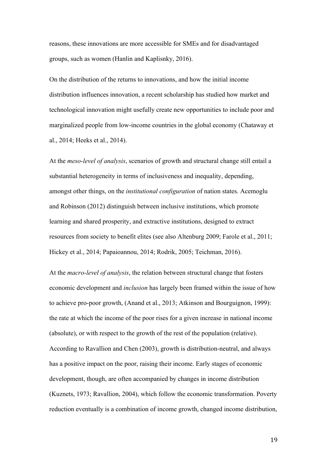reasons, these innovations are more accessible for SMEs and for disadvantaged groups, such as women (Hanlin and Kaplisnky, 2016).

On the distribution of the returns to innovations, and how the initial income distribution influences innovation, a recent scholarship has studied how market and technological innovation might usefully create new opportunities to include poor and marginalized people from low-income countries in the global economy (Chataway et al., 2014; Heeks et al., 2014).

At the *meso-level of analysis*, scenarios of growth and structural change still entail a substantial heterogeneity in terms of inclusiveness and inequality, depending, amongst other things, on the *institutional configuration* of nation states. Acemoglu and Robinson (2012) distinguish between inclusive institutions, which promote learning and shared prosperity, and extractive institutions, designed to extract resources from society to benefit elites (see also Altenburg 2009; Farole et al., 2011; Hickey et al., 2014; Papaioannou, 2014; Rodrik, 2005; Teichman, 2016).

At the *macro-level of analysis*, the relation between structural change that fosters economic development and *inclusion* has largely been framed within the issue of how to achieve pro-poor growth, (Anand et al., 2013; Atkinson and Bourguignon, 1999): the rate at which the income of the poor rises for a given increase in national income (absolute), or with respect to the growth of the rest of the population (relative). According to Ravallion and Chen (2003), growth is distribution-neutral, and always has a positive impact on the poor, raising their income. Early stages of economic development, though, are often accompanied by changes in income distribution (Kuznets, 1973; Ravallion, 2004), which follow the economic transformation. Poverty reduction eventually is a combination of income growth, changed income distribution,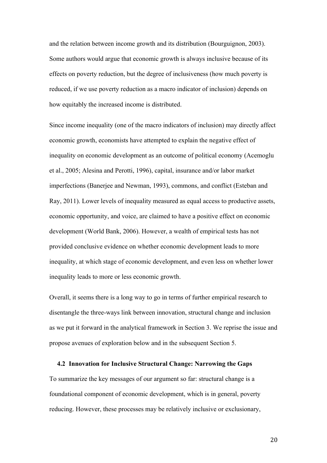and the relation between income growth and its distribution (Bourguignon, 2003). Some authors would argue that economic growth is always inclusive because of its effects on poverty reduction, but the degree of inclusiveness (how much poverty is reduced, if we use poverty reduction as a macro indicator of inclusion) depends on how equitably the increased income is distributed.

Since income inequality (one of the macro indicators of inclusion) may directly affect economic growth, economists have attempted to explain the negative effect of inequality on economic development as an outcome of political economy (Acemoglu et al., 2005; Alesina and Perotti, 1996), capital, insurance and/or labor market imperfections (Banerjee and Newman, 1993), commons, and conflict (Esteban and Ray, 2011). Lower levels of inequality measured as equal access to productive assets, economic opportunity, and voice, are claimed to have a positive effect on economic development (World Bank, 2006). However, a wealth of empirical tests has not provided conclusive evidence on whether economic development leads to more inequality, at which stage of economic development, and even less on whether lower inequality leads to more or less economic growth.

Overall, it seems there is a long way to go in terms of further empirical research to disentangle the three-ways link between innovation, structural change and inclusion as we put it forward in the analytical framework in Section 3. We reprise the issue and propose avenues of exploration below and in the subsequent Section 5.

# **4.2 Innovation for Inclusive Structural Change: Narrowing the Gaps**

To summarize the key messages of our argument so far: structural change is a foundational component of economic development, which is in general, poverty reducing. However, these processes may be relatively inclusive or exclusionary,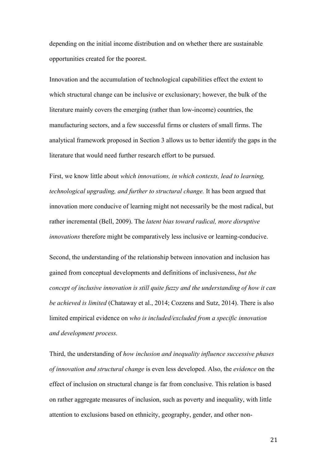depending on the initial income distribution and on whether there are sustainable opportunities created for the poorest.

Innovation and the accumulation of technological capabilities effect the extent to which structural change can be inclusive or exclusionary; however, the bulk of the literature mainly covers the emerging (rather than low-income) countries, the manufacturing sectors, and a few successful firms or clusters of small firms. The analytical framework proposed in Section 3 allows us to better identify the gaps in the literature that would need further research effort to be pursued.

First, we know little about *which innovations, in which contexts, lead to learning, technological upgrading, and further to structural change.* It has been argued that innovation more conducive of learning might not necessarily be the most radical, but rather incremental (Bell, 2009). The *latent bias toward radical, more disruptive innovations* therefore might be comparatively less inclusive or learning-conducive.

Second, the understanding of the relationship between innovation and inclusion has gained from conceptual developments and definitions of inclusiveness, *but the concept of inclusive innovation is still quite fuzzy and the understanding of how it can be achieved is limited* (Chataway et al., 2014; Cozzens and Sutz, 2014). There is also limited empirical evidence on *who is included/excluded from a specific innovation and development process.*

Third, the understanding of *how inclusion and inequality influence successive phases of innovation and structural change* is even less developed. Also, the *evidence* on the effect of inclusion on structural change is far from conclusive. This relation is based on rather aggregate measures of inclusion, such as poverty and inequality, with little attention to exclusions based on ethnicity, geography, gender, and other non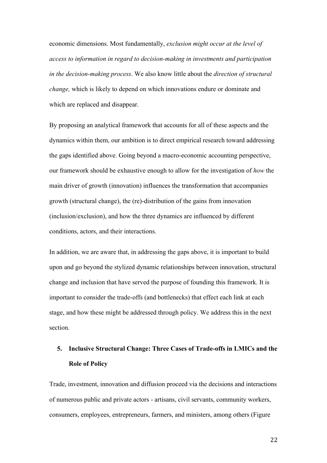economic dimensions. Most fundamentally, *exclusion might occur at the level of access to information in regard to decision-making in investments and participation in the decision-making process*. We also know little about the *direction of structural change,* which is likely to depend on which innovations endure or dominate and which are replaced and disappear.

By proposing an analytical framework that accounts for all of these aspects and the dynamics within them, our ambition is to direct empirical research toward addressing the gaps identified above. Going beyond a macro-economic accounting perspective, our framework should be exhaustive enough to allow for the investigation of *how* the main driver of growth (innovation) influences the transformation that accompanies growth (structural change), the (re)-distribution of the gains from innovation (inclusion/exclusion), and how the three dynamics are influenced by different conditions, actors, and their interactions.

In addition, we are aware that, in addressing the gaps above, it is important to build upon and go beyond the stylized dynamic relationships between innovation, structural change and inclusion that have served the purpose of founding this framework. It is important to consider the trade-offs (and bottlenecks) that effect each link at each stage, and how these might be addressed through policy. We address this in the next section.

# **5. Inclusive Structural Change: Three Cases of Trade-offs in LMICs and the Role of Policy**

Trade, investment, innovation and diffusion proceed via the decisions and interactions of numerous public and private actors - artisans, civil servants, community workers, consumers, employees, entrepreneurs, farmers, and ministers, among others (Figure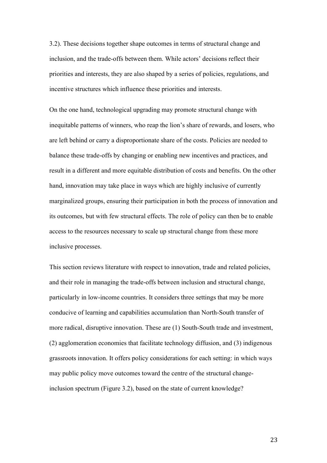3.2). These decisions together shape outcomes in terms of structural change and inclusion, and the trade-offs between them. While actors' decisions reflect their priorities and interests, they are also shaped by a series of policies, regulations, and incentive structures which influence these priorities and interests.

On the one hand, technological upgrading may promote structural change with inequitable patterns of winners, who reap the lion's share of rewards, and losers, who are left behind or carry a disproportionate share of the costs. Policies are needed to balance these trade-offs by changing or enabling new incentives and practices, and result in a different and more equitable distribution of costs and benefits. On the other hand, innovation may take place in ways which are highly inclusive of currently marginalized groups, ensuring their participation in both the process of innovation and its outcomes, but with few structural effects. The role of policy can then be to enable access to the resources necessary to scale up structural change from these more inclusive processes.

This section reviews literature with respect to innovation, trade and related policies, and their role in managing the trade-offs between inclusion and structural change, particularly in low-income countries. It considers three settings that may be more conducive of learning and capabilities accumulation than North-South transfer of more radical, disruptive innovation. These are (1) South-South trade and investment, (2) agglomeration economies that facilitate technology diffusion, and (3) indigenous grassroots innovation. It offers policy considerations for each setting: in which ways may public policy move outcomes toward the centre of the structural changeinclusion spectrum (Figure 3.2), based on the state of current knowledge?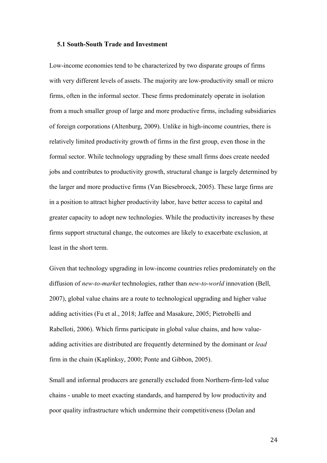# **5.1 South-South Trade and Investment**

Low-income economies tend to be characterized by two disparate groups of firms with very different levels of assets. The majority are low-productivity small or micro firms, often in the informal sector. These firms predominately operate in isolation from a much smaller group of large and more productive firms, including subsidiaries of foreign corporations (Altenburg, 2009). Unlike in high-income countries, there is relatively limited productivity growth of firms in the first group, even those in the formal sector. While technology upgrading by these small firms does create needed jobs and contributes to productivity growth, structural change is largely determined by the larger and more productive firms (Van Biesebroeck, 2005). These large firms are in a position to attract higher productivity labor, have better access to capital and greater capacity to adopt new technologies. While the productivity increases by these firms support structural change, the outcomes are likely to exacerbate exclusion, at least in the short term.

Given that technology upgrading in low-income countries relies predominately on the diffusion of *new-to-market* technologies, rather than *new-to-world* innovation (Bell, 2007), global value chains are a route to technological upgrading and higher value adding activities (Fu et al., 2018; Jaffee and Masakure, 2005; Pietrobelli and Rabelloti, 2006). Which firms participate in global value chains, and how valueadding activities are distributed are frequently determined by the dominant or *lead* firm in the chain (Kaplinksy, 2000; Ponte and Gibbon, 2005).

Small and informal producers are generally excluded from Northern-firm-led value chains - unable to meet exacting standards, and hampered by low productivity and poor quality infrastructure which undermine their competitiveness (Dolan and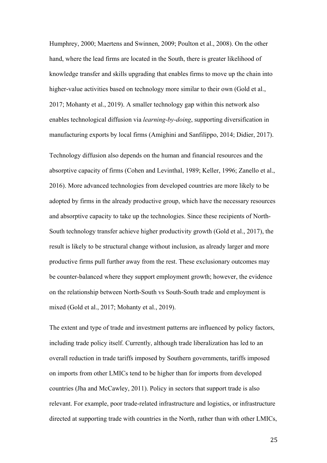Humphrey, 2000; Maertens and Swinnen, 2009; Poulton et al., 2008). On the other hand, where the lead firms are located in the South, there is greater likelihood of knowledge transfer and skills upgrading that enables firms to move up the chain into higher-value activities based on technology more similar to their own (Gold et al., 2017; Mohanty et al., 2019). A smaller technology gap within this network also enables technological diffusion via *learning-by-doing*, supporting diversification in manufacturing exports by local firms (Amighini and Sanfilippo, 2014; Didier, 2017).

Technology diffusion also depends on the human and financial resources and the absorptive capacity of firms (Cohen and Levinthal, 1989; Keller, 1996; Zanello et al., 2016). More advanced technologies from developed countries are more likely to be adopted by firms in the already productive group, which have the necessary resources and absorptive capacity to take up the technologies. Since these recipients of North-South technology transfer achieve higher productivity growth (Gold et al., 2017), the result is likely to be structural change without inclusion, as already larger and more productive firms pull further away from the rest. These exclusionary outcomes may be counter-balanced where they support employment growth; however, the evidence on the relationship between North-South vs South-South trade and employment is mixed (Gold et al., 2017; Mohanty et al., 2019).

The extent and type of trade and investment patterns are influenced by policy factors, including trade policy itself. Currently, although trade liberalization has led to an overall reduction in trade tariffs imposed by Southern governments, tariffs imposed on imports from other LMICs tend to be higher than for imports from developed countries (Jha and McCawley, 2011). Policy in sectors that support trade is also relevant. For example, poor trade-related infrastructure and logistics, or infrastructure directed at supporting trade with countries in the North, rather than with other LMICs,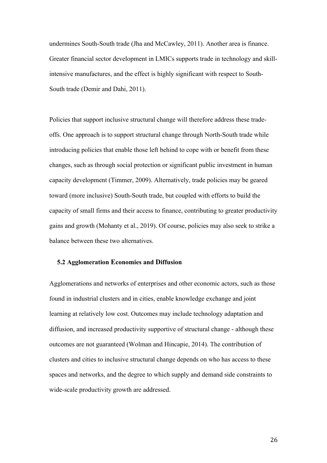undermines South-South trade (Jha and McCawley, 2011). Another area is finance. Greater financial sector development in LMICs supports trade in technology and skillintensive manufactures, and the effect is highly significant with respect to South-South trade (Demir and Dahi, 2011).

Policies that support inclusive structural change will therefore address these tradeoffs. One approach is to support structural change through North-South trade while introducing policies that enable those left behind to cope with or benefit from these changes, such as through social protection or significant public investment in human capacity development (Timmer, 2009). Alternatively, trade policies may be geared toward (more inclusive) South-South trade, but coupled with efforts to build the capacity of small firms and their access to finance, contributing to greater productivity gains and growth (Mohanty et al., 2019). Of course, policies may also seek to strike a balance between these two alternatives.

# **5.2 Agglomeration Economies and Diffusion**

Agglomerations and networks of enterprises and other economic actors, such as those found in industrial clusters and in cities, enable knowledge exchange and joint learning at relatively low cost. Outcomes may include technology adaptation and diffusion, and increased productivity supportive of structural change - although these outcomes are not guaranteed (Wolman and Hincapie, 2014). The contribution of clusters and cities to inclusive structural change depends on who has access to these spaces and networks, and the degree to which supply and demand side constraints to wide-scale productivity growth are addressed.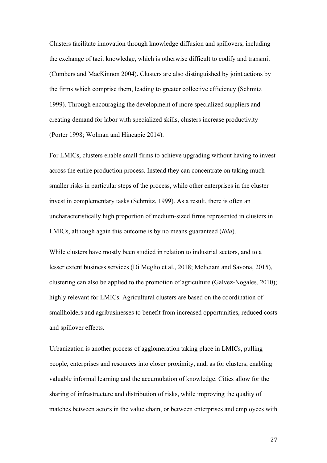Clusters facilitate innovation through knowledge diffusion and spillovers, including the exchange of tacit knowledge, which is otherwise difficult to codify and transmit (Cumbers and MacKinnon 2004). Clusters are also distinguished by joint actions by the firms which comprise them, leading to greater collective efficiency (Schmitz 1999). Through encouraging the development of more specialized suppliers and creating demand for labor with specialized skills, clusters increase productivity (Porter 1998; Wolman and Hincapie 2014).

For LMICs, clusters enable small firms to achieve upgrading without having to invest across the entire production process. Instead they can concentrate on taking much smaller risks in particular steps of the process, while other enterprises in the cluster invest in complementary tasks (Schmitz, 1999). As a result, there is often an uncharacteristically high proportion of medium-sized firms represented in clusters in LMICs, although again this outcome is by no means guaranteed (*Ibid*).

While clusters have mostly been studied in relation to industrial sectors, and to a lesser extent business services (Di Meglio et al., 2018; Meliciani and Savona, 2015), clustering can also be applied to the promotion of agriculture (Galvez-Nogales, 2010); highly relevant for LMICs. Agricultural clusters are based on the coordination of smallholders and agribusinesses to benefit from increased opportunities, reduced costs and spillover effects.

Urbanization is another process of agglomeration taking place in LMICs, pulling people, enterprises and resources into closer proximity, and, as for clusters, enabling valuable informal learning and the accumulation of knowledge. Cities allow for the sharing of infrastructure and distribution of risks, while improving the quality of matches between actors in the value chain, or between enterprises and employees with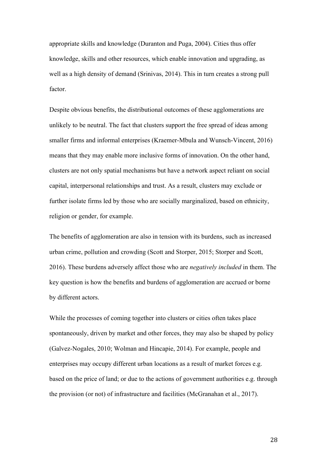appropriate skills and knowledge (Duranton and Puga, 2004). Cities thus offer knowledge, skills and other resources, which enable innovation and upgrading, as well as a high density of demand (Srinivas, 2014). This in turn creates a strong pull factor.

Despite obvious benefits, the distributional outcomes of these agglomerations are unlikely to be neutral. The fact that clusters support the free spread of ideas among smaller firms and informal enterprises (Kraemer-Mbula and Wunsch-Vincent, 2016) means that they may enable more inclusive forms of innovation. On the other hand, clusters are not only spatial mechanisms but have a network aspect reliant on social capital, interpersonal relationships and trust. As a result, clusters may exclude or further isolate firms led by those who are socially marginalized, based on ethnicity, religion or gender, for example.

The benefits of agglomeration are also in tension with its burdens, such as increased urban crime, pollution and crowding (Scott and Storper, 2015; Storper and Scott, 2016). These burdens adversely affect those who are *negatively included* in them. The key question is how the benefits and burdens of agglomeration are accrued or borne by different actors.

While the processes of coming together into clusters or cities often takes place spontaneously, driven by market and other forces, they may also be shaped by policy (Galvez-Nogales, 2010; Wolman and Hincapie, 2014). For example, people and enterprises may occupy different urban locations as a result of market forces e.g. based on the price of land; or due to the actions of government authorities e.g. through the provision (or not) of infrastructure and facilities (McGranahan et al., 2017).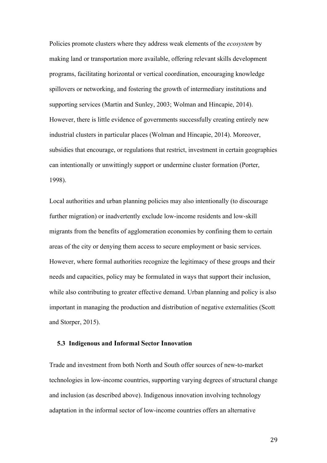Policies promote clusters where they address weak elements of the *ecosystem* by making land or transportation more available, offering relevant skills development programs, facilitating horizontal or vertical coordination, encouraging knowledge spillovers or networking, and fostering the growth of intermediary institutions and supporting services (Martin and Sunley, 2003; Wolman and Hincapie, 2014). However, there is little evidence of governments successfully creating entirely new industrial clusters in particular places (Wolman and Hincapie, 2014). Moreover, subsidies that encourage, or regulations that restrict, investment in certain geographies can intentionally or unwittingly support or undermine cluster formation (Porter, 1998).

Local authorities and urban planning policies may also intentionally (to discourage further migration) or inadvertently exclude low-income residents and low-skill migrants from the benefits of agglomeration economies by confining them to certain areas of the city or denying them access to secure employment or basic services. However, where formal authorities recognize the legitimacy of these groups and their needs and capacities, policy may be formulated in ways that support their inclusion, while also contributing to greater effective demand. Urban planning and policy is also important in managing the production and distribution of negative externalities (Scott and Storper, 2015).

# **5.3 Indigenous and Informal Sector Innovation**

Trade and investment from both North and South offer sources of new-to-market technologies in low-income countries, supporting varying degrees of structural change and inclusion (as described above). Indigenous innovation involving technology adaptation in the informal sector of low-income countries offers an alternative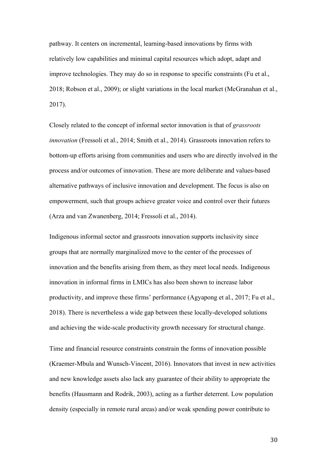pathway. It centers on incremental, learning-based innovations by firms with relatively low capabilities and minimal capital resources which adopt, adapt and improve technologies. They may do so in response to specific constraints (Fu et al., 2018; Robson et al., 2009); or slight variations in the local market (McGranahan et al., 2017).

Closely related to the concept of informal sector innovation is that of *grassroots innovation* (Fressoli et al., 2014; Smith et al., 2014). Grassroots innovation refers to bottom-up efforts arising from communities and users who are directly involved in the process and/or outcomes of innovation. These are more deliberate and values-based alternative pathways of inclusive innovation and development. The focus is also on empowerment, such that groups achieve greater voice and control over their futures (Arza and van Zwanenberg, 2014; Fressoli et al., 2014).

Indigenous informal sector and grassroots innovation supports inclusivity since groups that are normally marginalized move to the center of the processes of innovation and the benefits arising from them, as they meet local needs. Indigenous innovation in informal firms in LMICs has also been shown to increase labor productivity, and improve these firms' performance (Agyapong et al., 2017; Fu et al., 2018). There is nevertheless a wide gap between these locally-developed solutions and achieving the wide-scale productivity growth necessary for structural change.

Time and financial resource constraints constrain the forms of innovation possible (Kraemer-Mbula and Wunsch-Vincent, 2016). Innovators that invest in new activities and new knowledge assets also lack any guarantee of their ability to appropriate the benefits (Hausmann and Rodrik, 2003), acting as a further deterrent. Low population density (especially in remote rural areas) and/or weak spending power contribute to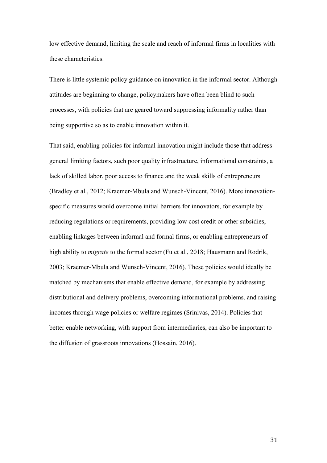low effective demand, limiting the scale and reach of informal firms in localities with these characteristics.

There is little systemic policy guidance on innovation in the informal sector. Although attitudes are beginning to change, policymakers have often been blind to such processes, with policies that are geared toward suppressing informality rather than being supportive so as to enable innovation within it.

That said, enabling policies for informal innovation might include those that address general limiting factors, such poor quality infrastructure, informational constraints, a lack of skilled labor, poor access to finance and the weak skills of entrepreneurs (Bradley et al., 2012; Kraemer-Mbula and Wunsch-Vincent, 2016). More innovationspecific measures would overcome initial barriers for innovators, for example by reducing regulations or requirements, providing low cost credit or other subsidies, enabling linkages between informal and formal firms, or enabling entrepreneurs of high ability to *migrate* to the formal sector (Fu et al., 2018; Hausmann and Rodrik, 2003; Kraemer-Mbula and Wunsch-Vincent, 2016). These policies would ideally be matched by mechanisms that enable effective demand, for example by addressing distributional and delivery problems, overcoming informational problems, and raising incomes through wage policies or welfare regimes (Srinivas, 2014). Policies that better enable networking, with support from intermediaries, can also be important to the diffusion of grassroots innovations (Hossain, 2016).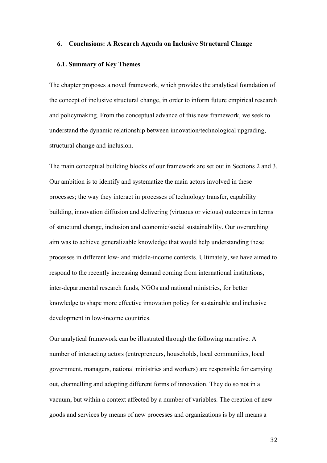# **6. Conclusions: A Research Agenda on Inclusive Structural Change**

#### **6.1. Summary of Key Themes**

The chapter proposes a novel framework, which provides the analytical foundation of the concept of inclusive structural change, in order to inform future empirical research and policymaking. From the conceptual advance of this new framework, we seek to understand the dynamic relationship between innovation/technological upgrading, structural change and inclusion.

The main conceptual building blocks of our framework are set out in Sections 2 and 3. Our ambition is to identify and systematize the main actors involved in these processes; the way they interact in processes of technology transfer, capability building, innovation diffusion and delivering (virtuous or vicious) outcomes in terms of structural change, inclusion and economic/social sustainability. Our overarching aim was to achieve generalizable knowledge that would help understanding these processes in different low- and middle-income contexts. Ultimately, we have aimed to respond to the recently increasing demand coming from international institutions, inter-departmental research funds, NGOs and national ministries, for better knowledge to shape more effective innovation policy for sustainable and inclusive development in low-income countries.

Our analytical framework can be illustrated through the following narrative. A number of interacting actors (entrepreneurs, households, local communities, local government, managers, national ministries and workers) are responsible for carrying out, channelling and adopting different forms of innovation. They do so not in a vacuum, but within a context affected by a number of variables. The creation of new goods and services by means of new processes and organizations is by all means a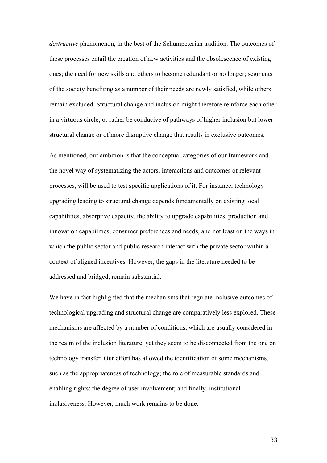*destructive* phenomenon, in the best of the Schumpeterian tradition. The outcomes of these processes entail the creation of new activities and the obsolescence of existing ones; the need for new skills and others to become redundant or no longer; segments of the society benefiting as a number of their needs are newly satisfied, while others remain excluded. Structural change and inclusion might therefore reinforce each other in a virtuous circle; or rather be conducive of pathways of higher inclusion but lower structural change or of more disruptive change that results in exclusive outcomes.

As mentioned, our ambition is that the conceptual categories of our framework and the novel way of systematizing the actors, interactions and outcomes of relevant processes, will be used to test specific applications of it. For instance, technology upgrading leading to structural change depends fundamentally on existing local capabilities, absorptive capacity, the ability to upgrade capabilities, production and innovation capabilities, consumer preferences and needs, and not least on the ways in which the public sector and public research interact with the private sector within a context of aligned incentives. However, the gaps in the literature needed to be addressed and bridged, remain substantial.

We have in fact highlighted that the mechanisms that regulate inclusive outcomes of technological upgrading and structural change are comparatively less explored. These mechanisms are affected by a number of conditions, which are usually considered in the realm of the inclusion literature, yet they seem to be disconnected from the one on technology transfer. Our effort has allowed the identification of some mechanisms, such as the appropriateness of technology; the role of measurable standards and enabling rights; the degree of user involvement; and finally, institutional inclusiveness. However, much work remains to be done.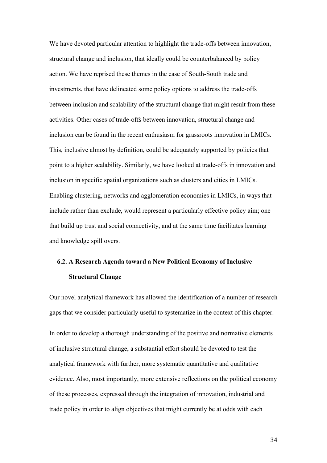We have devoted particular attention to highlight the trade-offs between innovation, structural change and inclusion, that ideally could be counterbalanced by policy action. We have reprised these themes in the case of South-South trade and investments, that have delineated some policy options to address the trade-offs between inclusion and scalability of the structural change that might result from these activities. Other cases of trade-offs between innovation, structural change and inclusion can be found in the recent enthusiasm for grassroots innovation in LMICs. This, inclusive almost by definition, could be adequately supported by policies that point to a higher scalability. Similarly, we have looked at trade-offs in innovation and inclusion in specific spatial organizations such as clusters and cities in LMICs. Enabling clustering, networks and agglomeration economies in LMICs, in ways that include rather than exclude, would represent a particularly effective policy aim; one that build up trust and social connectivity, and at the same time facilitates learning and knowledge spill overs.

# **6.2. A Research Agenda toward a New Political Economy of Inclusive Structural Change**

Our novel analytical framework has allowed the identification of a number of research gaps that we consider particularly useful to systematize in the context of this chapter.

In order to develop a thorough understanding of the positive and normative elements of inclusive structural change, a substantial effort should be devoted to test the analytical framework with further, more systematic quantitative and qualitative evidence. Also, most importantly, more extensive reflections on the political economy of these processes, expressed through the integration of innovation, industrial and trade policy in order to align objectives that might currently be at odds with each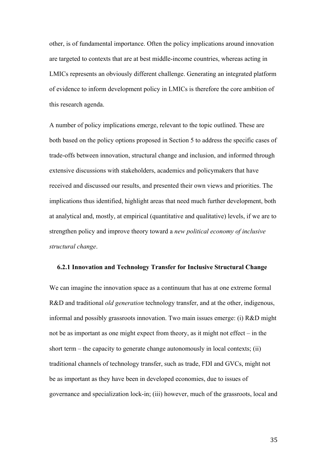other, is of fundamental importance. Often the policy implications around innovation are targeted to contexts that are at best middle-income countries, whereas acting in LMICs represents an obviously different challenge. Generating an integrated platform of evidence to inform development policy in LMICs is therefore the core ambition of this research agenda.

A number of policy implications emerge, relevant to the topic outlined. These are both based on the policy options proposed in Section 5 to address the specific cases of trade-offs between innovation, structural change and inclusion, and informed through extensive discussions with stakeholders, academics and policymakers that have received and discussed our results, and presented their own views and priorities. The implications thus identified, highlight areas that need much further development, both at analytical and, mostly, at empirical (quantitative and qualitative) levels, if we are to strengthen policy and improve theory toward a *new political economy of inclusive structural change*.

#### **6.2.1 Innovation and Technology Transfer for Inclusive Structural Change**

We can imagine the innovation space as a continuum that has at one extreme formal R&D and traditional *old generation* technology transfer, and at the other, indigenous, informal and possibly grassroots innovation. Two main issues emerge: (i) R&D might not be as important as one might expect from theory, as it might not effect – in the short term – the capacity to generate change autonomously in local contexts; (ii) traditional channels of technology transfer, such as trade, FDI and GVCs, might not be as important as they have been in developed economies, due to issues of governance and specialization lock-in; (iii) however, much of the grassroots, local and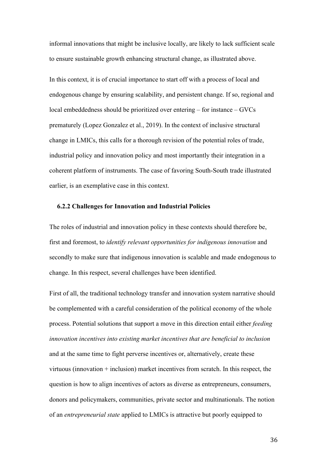informal innovations that might be inclusive locally, are likely to lack sufficient scale to ensure sustainable growth enhancing structural change, as illustrated above.

In this context, it is of crucial importance to start off with a process of local and endogenous change by ensuring scalability, and persistent change. If so, regional and local embeddedness should be prioritized over entering – for instance – GVCs prematurely (Lopez Gonzalez et al., 2019). In the context of inclusive structural change in LMICs, this calls for a thorough revision of the potential roles of trade, industrial policy and innovation policy and most importantly their integration in a coherent platform of instruments. The case of favoring South-South trade illustrated earlier, is an exemplative case in this context.

#### **6.2.2 Challenges for Innovation and Industrial Policies**

The roles of industrial and innovation policy in these contexts should therefore be, first and foremost, to *identify relevant opportunities for indigenous innovation* and secondly to make sure that indigenous innovation is scalable and made endogenous to change. In this respect, several challenges have been identified.

First of all, the traditional technology transfer and innovation system narrative should be complemented with a careful consideration of the political economy of the whole process. Potential solutions that support a move in this direction entail either *feeding innovation incentives into existing market incentives that are beneficial to inclusion* and at the same time to fight perverse incentives or, alternatively, create these virtuous (innovation + inclusion) market incentives from scratch. In this respect, the question is how to align incentives of actors as diverse as entrepreneurs, consumers, donors and policymakers, communities, private sector and multinationals. The notion of an *entrepreneurial state* applied to LMICs is attractive but poorly equipped to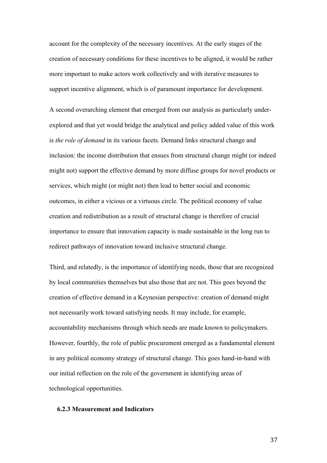account for the complexity of the necessary incentives. At the early stages of the creation of necessary conditions for these incentives to be aligned, it would be rather more important to make actors work collectively and with iterative measures to support incentive alignment, which is of paramount importance for development.

A second overarching element that emerged from our analysis as particularly underexplored and that yet would bridge the analytical and policy added value of this work is *the role of demand* in its various facets. Demand links structural change and inclusion: the income distribution that ensues from structural change might (or indeed might not) support the effective demand by more diffuse groups for novel products or services, which might (or might not) then lead to better social and economic outcomes, in either a vicious or a virtuous circle. The political economy of value creation and redistribution as a result of structural change is therefore of crucial importance to ensure that innovation capacity is made sustainable in the long run to redirect pathways of innovation toward inclusive structural change.

Third, and relatedly, is the importance of identifying needs, those that are recognized by local communities themselves but also those that are not. This goes beyond the creation of effective demand in a Keynesian perspective: creation of demand might not necessarily work toward satisfying needs. It may include, for example, accountability mechanisms through which needs are made known to policymakers. However, fourthly, the role of public procurement emerged as a fundamental element in any political economy strategy of structural change. This goes hand-in-hand with our initial reflection on the role of the government in identifying areas of technological opportunities.

# **6.2.3 Measurement and Indicators**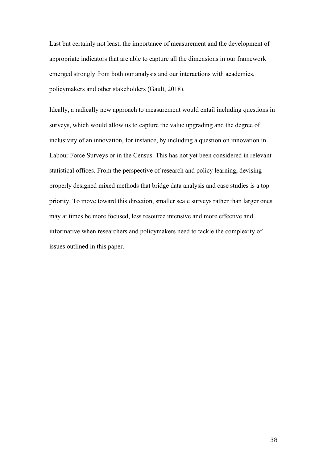Last but certainly not least, the importance of measurement and the development of appropriate indicators that are able to capture all the dimensions in our framework emerged strongly from both our analysis and our interactions with academics, policymakers and other stakeholders (Gault, 2018).

Ideally, a radically new approach to measurement would entail including questions in surveys, which would allow us to capture the value upgrading and the degree of inclusivity of an innovation, for instance, by including a question on innovation in Labour Force Surveys or in the Census. This has not yet been considered in relevant statistical offices. From the perspective of research and policy learning, devising properly designed mixed methods that bridge data analysis and case studies is a top priority. To move toward this direction, smaller scale surveys rather than larger ones may at times be more focused, less resource intensive and more effective and informative when researchers and policymakers need to tackle the complexity of issues outlined in this paper.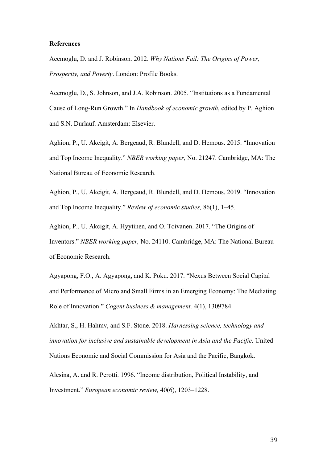# **References**

Acemoglu, D. and J. Robinson. 2012. *Why Nations Fail: The Origins of Power, Prosperity, and Poverty*. London: Profile Books.

Acemoglu, D., S. Johnson, and J.A. Robinson. 2005. "Institutions as a Fundamental Cause of Long-Run Growth." In *Handbook of economic growth*, edited by P. Aghion and S.N. Durlauf. Amsterdam: Elsevier.

Aghion, P., U. Akcigit, A. Bergeaud, R. Blundell, and D. Hemous. 2015. "Innovation and Top Income Inequality." *NBER working paper,* No. 21247. Cambridge, MA: The National Bureau of Economic Research.

Aghion, P., U. Akcigit, A. Bergeaud, R. Blundell, and D. Hemous. 2019. "Innovation and Top Income Inequality." *Review of economic studies,* 86(1), 1–45.

Aghion, P., U. Akcigit, A. Hyytinen, and O. Toivanen. 2017. "The Origins of Inventors." *NBER working paper,* No. 24110. Cambridge, MA: The National Bureau of Economic Research.

Agyapong, F.O., A. Agyapong, and K. Poku. 2017. "Nexus Between Social Capital and Performance of Micro and Small Firms in an Emerging Economy: The Mediating Role of Innovation." *Cogent business & management,* 4(1), 1309784.

Akhtar, S., H. Hahmv, and S.F. Stone. 2018. *Harnessing science, technology and innovation for inclusive and sustainable development in Asia and the Pacific.* United Nations Economic and Social Commission for Asia and the Pacific, Bangkok.

Alesina, A. and R. Perotti. 1996. "Income distribution, Political Instability, and Investment." *European economic review,* 40(6), 1203–1228.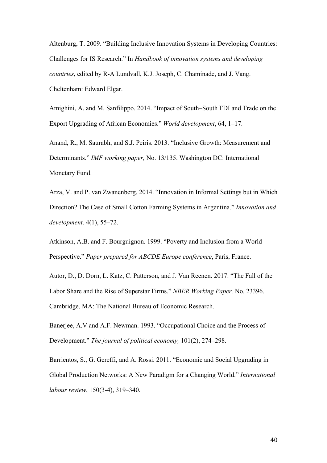Altenburg, T. 2009. "Building Inclusive Innovation Systems in Developing Countries: Challenges for IS Research." In *Handbook of innovation systems and developing countries*, edited by R-A Lundvall, K.J. Joseph, C. Chaminade, and J. Vang. Cheltenham: Edward Elgar.

Amighini, A. and M. Sanfilippo. 2014. "Impact of South–South FDI and Trade on the Export Upgrading of African Economies." *World development*, 64, 1–17.

Anand, R., M. Saurabh, and S.J. Peiris. 2013. "Inclusive Growth: Measurement and Determinants." *IMF working paper,* No. 13/135. Washington DC: International Monetary Fund.

Arza, V. and P. van Zwanenberg. 2014. "Innovation in Informal Settings but in Which Direction? The Case of Small Cotton Farming Systems in Argentina." *Innovation and development,* 4(1), 55–72.

Atkinson, A.B. and F. Bourguignon. 1999. "Poverty and Inclusion from a World Perspective." *Paper prepared for ABCDE Europe conference*, Paris, France.

Autor, D., D. Dorn, L. Katz, C. Patterson, and J. Van Reenen. 2017. "The Fall of the Labor Share and the Rise of Superstar Firms." *NBER Working Paper,* No. 23396. Cambridge, MA: The National Bureau of Economic Research.

Banerjee, A.V and A.F. Newman. 1993. "Occupational Choice and the Process of Development." *The journal of political economy,* 101(2), 274–298.

Barrientos, S., G. Gereffi, and A. Rossi. 2011. "Economic and Social Upgrading in Global Production Networks: A New Paradigm for a Changing World." *International labour review*, 150(3-4), 319–340.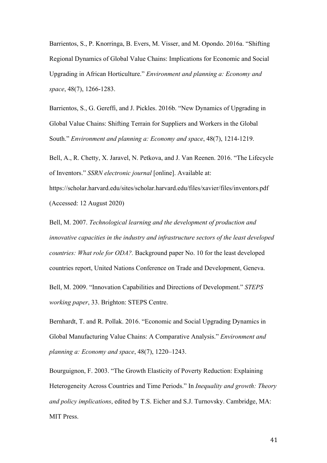Barrientos, S., P. Knorringa, B. Evers, M. Visser, and M. Opondo. 2016a. "Shifting Regional Dynamics of Global Value Chains: Implications for Economic and Social Upgrading in African Horticulture." *Environment and planning a: Economy and space*, 48(7), 1266-1283.

Barrientos, S., G. Gereffi, and J. Pickles. 2016b. "New Dynamics of Upgrading in Global Value Chains: Shifting Terrain for Suppliers and Workers in the Global South." *Environment and planning a: Economy and space*, 48(7), 1214-1219.

Bell, A., R. Chetty, X. Jaravel, N. Petkova, and J. Van Reenen. 2016. "The Lifecycle of Inventors." *SSRN electronic journal* [online]. Available at:

https://scholar.harvard.edu/sites/scholar.harvard.edu/files/xavier/files/inventors.pdf (Accessed: 12 August 2020)

Bell, M. 2007. *Technological learning and the development of production and innovative capacities in the industry and infrastructure sectors of the least developed countries: What role for ODA?.* Background paper No. 10 for the least developed countries report, United Nations Conference on Trade and Development, Geneva.

Bell, M. 2009. "Innovation Capabilities and Directions of Development." *STEPS working paper*, 33. Brighton: STEPS Centre.

Bernhardt, T. and R. Pollak. 2016. "Economic and Social Upgrading Dynamics in Global Manufacturing Value Chains: A Comparative Analysis." *Environment and planning a: Economy and space*, 48(7), 1220–1243.

Bourguignon, F. 2003. "The Growth Elasticity of Poverty Reduction: Explaining Heterogeneity Across Countries and Time Periods." In *Inequality and growth: Theory and policy implications*, edited by T.S. Eicher and S.J. Turnovsky. Cambridge, MA: MIT Press.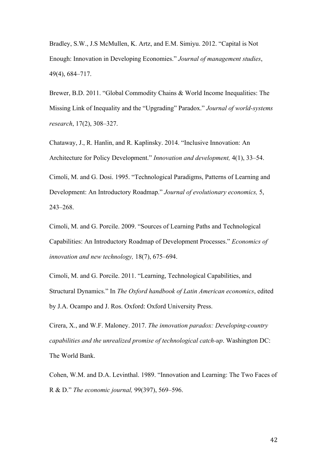Bradley, S.W., J.S McMullen, K. Artz, and E.M. Simiyu. 2012. "Capital is Not Enough: Innovation in Developing Economies." *Journal of management studies*, 49(4), 684–717.

Brewer, B.D. 2011. "Global Commodity Chains & World Income Inequalities: The Missing Link of Inequality and the "Upgrading" Paradox." *Journal of world-systems research*, 17(2), 308–327.

Chataway, J., R. Hanlin, and R. Kaplinsky. 2014. "Inclusive Innovation: An Architecture for Policy Development." *Innovation and development,* 4(1), 33–54.

Cimoli, M. and G. Dosi. 1995. "Technological Paradigms, Patterns of Learning and Development: An Introductory Roadmap." *Journal of evolutionary economics,* 5, 243–268.

Cimoli, M. and G. Porcile. 2009. "Sources of Learning Paths and Technological Capabilities: An Introductory Roadmap of Development Processes." *Economics of innovation and new technology,* 18(7), 675–694.

Cimoli, M. and G. Porcile. 2011. "Learning, Technological Capabilities, and Structural Dynamics." In *The Oxford handbook of Latin American economics*, edited by J.A. Ocampo and J. Ros. Oxford: Oxford University Press.

Cirera, X., and W.F. Maloney. 2017. *The innovation paradox: Developing-country capabilities and the unrealized promise of technological catch-up*. Washington DC: The World Bank.

Cohen, W.M. and D.A. Levinthal. 1989. "Innovation and Learning: The Two Faces of R & D." *The economic journal,* 99(397), 569–596.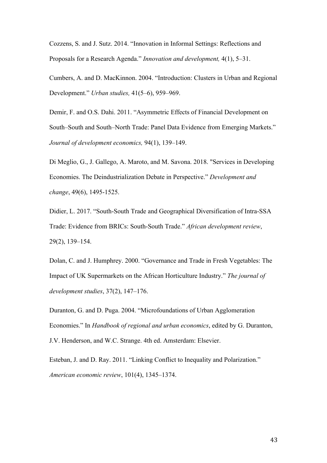Cozzens, S. and J. Sutz. 2014. "Innovation in Informal Settings: Reflections and Proposals for a Research Agenda." *Innovation and development,* 4(1), 5–31.

Cumbers, A. and D. MacKinnon. 2004. "Introduction: Clusters in Urban and Regional Development." *Urban studies,* 41(5–6), 959–969.

Demir, F. and O.S. Dahi. 2011. "Asymmetric Effects of Financial Development on South–South and South–North Trade: Panel Data Evidence from Emerging Markets." *Journal of development economics,* 94(1), 139–149.

Di Meglio, G., J. Gallego, A. Maroto, and M. Savona. 2018. "Services in Developing Economies. The Deindustrialization Debate in Perspective." *Development and change*, 49(6), 1495-1525.

Didier, L. 2017. "South-South Trade and Geographical Diversification of Intra-SSA Trade: Evidence from BRICs: South-South Trade." *African development review*, 29(2), 139–154.

Dolan, C. and J. Humphrey. 2000. "Governance and Trade in Fresh Vegetables: The Impact of UK Supermarkets on the African Horticulture Industry." *The journal of development studies*, 37(2), 147–176.

Duranton, G. and D. Puga. 2004. "Microfoundations of Urban Agglomeration Economies." In *Handbook of regional and urban economics*, edited by G. Duranton, J.V. Henderson, and W.C. Strange. 4th ed. Amsterdam: Elsevier.

Esteban, J. and D. Ray. 2011. "Linking Conflict to Inequality and Polarization." *American economic review*, 101(4), 1345–1374.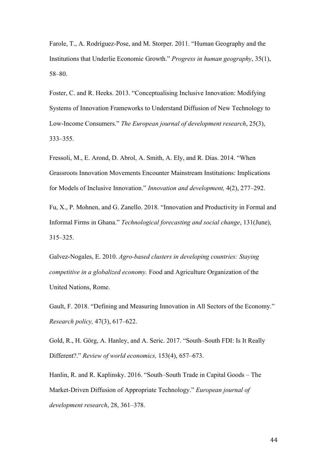Farole, T., A. Rodríguez-Pose, and M. Storper. 2011. "Human Geography and the Institutions that Underlie Economic Growth." *Progress in human geography*, 35(1), 58–80.

Foster, C. and R. Heeks. 2013. "Conceptualising Inclusive Innovation: Modifying Systems of Innovation Frameworks to Understand Diffusion of New Technology to Low-Income Consumers." *The European journal of development research*, 25(3), 333–355.

Fressoli, M., E. Arond, D. Abrol, A. Smith, A. Ely, and R. Dias. 2014. "When Grassroots Innovation Movements Encounter Mainstream Institutions: Implications for Models of Inclusive Innovation." *Innovation and development,* 4(2), 277–292.

Fu, X., P. Mohnen, and G. Zanello. 2018. "Innovation and Productivity in Formal and Informal Firms in Ghana." *Technological forecasting and social change*, 131(June), 315–325.

Galvez-Nogales, E. 2010. *Agro-based clusters in developing countries: Staying competitive in a globalized economy.* Food and Agriculture Organization of the United Nations, Rome.

Gault, F. 2018. "Defining and Measuring Innovation in All Sectors of the Economy." *Research policy,* 47(3), 617–622.

Gold, R., H. Görg, A. Hanley, and A. Seric. 2017. "South–South FDI: Is It Really Different?." *Review of world economics,* 153(4), 657–673.

Hanlin, R. and R. Kaplinsky. 2016. "South–South Trade in Capital Goods – The Market-Driven Diffusion of Appropriate Technology." *European journal of development research*, 28, 361–378.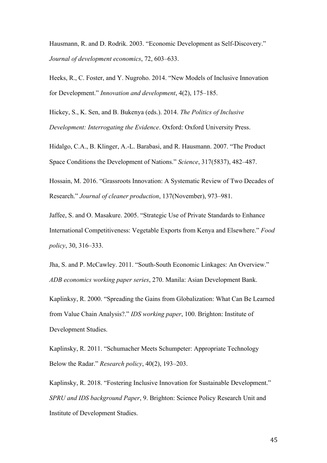Hausmann, R. and D. Rodrik. 2003. "Economic Development as Self-Discovery." *Journal of development economics*, 72, 603–633.

Heeks, R., C. Foster, and Y. Nugroho. 2014. "New Models of Inclusive Innovation for Development." *Innovation and development*, 4(2), 175–185.

Hickey, S., K. Sen, and B. Bukenya (eds.). 2014. *The Politics of Inclusive Development: Interrogating the Evidence*. Oxford: Oxford University Press.

Hidalgo, C.A., B. Klinger, A.-L. Barabasi, and R. Hausmann. 2007. "The Product Space Conditions the Development of Nations." *Science*, 317(5837), 482–487.

Hossain, M. 2016. "Grassroots Innovation: A Systematic Review of Two Decades of Research." *Journal of cleaner production*, 137(November), 973–981.

Jaffee, S. and O. Masakure. 2005. "Strategic Use of Private Standards to Enhance International Competitiveness: Vegetable Exports from Kenya and Elsewhere." *Food policy*, 30, 316–333.

Jha, S. and P. McCawley. 2011. "South-South Economic Linkages: An Overview." *ADB economics working paper series*, 270. Manila: Asian Development Bank.

Kaplinksy, R. 2000. "Spreading the Gains from Globalization: What Can Be Learned from Value Chain Analysis?." *IDS working paper*, 100. Brighton: Institute of Development Studies.

Kaplinsky, R. 2011. "Schumacher Meets Schumpeter: Appropriate Technology Below the Radar." *Research policy*, 40(2), 193–203.

Kaplinsky, R. 2018. "Fostering Inclusive Innovation for Sustainable Development." *SPRU and IDS background Paper*, 9. Brighton: Science Policy Research Unit and Institute of Development Studies.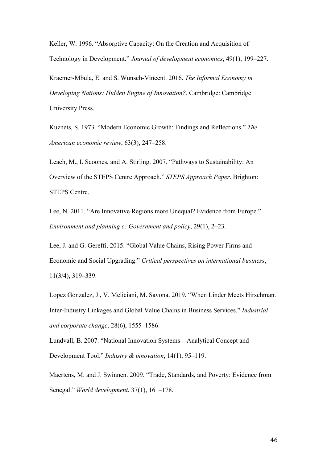Keller, W. 1996. "Absorptive Capacity: On the Creation and Acquisition of Technology in Development." *Journal of development economics*, 49(1), 199–227.

Kraemer-Mbula, E. and S. Wunsch-Vincent. 2016. *The Informal Economy in Developing Nations: Hidden Engine of Innovation?*. Cambridge: Cambridge University Press.

Kuznets, S. 1973. "Modern Economic Growth: Findings and Reflections." *The American economic review*, 63(3), 247–258.

Leach, M., I. Scoones, and A. Stirling. 2007. "Pathways to Sustainability: An Overview of the STEPS Centre Approach." *STEPS Approach Paper*. Brighton: STEPS Centre.

Lee, N. 2011. "Are Innovative Regions more Unequal? Evidence from Europe." *Environment and planning c: Government and policy*, 29(1), 2–23.

Lee, J. and G. Gereffi. 2015. "Global Value Chains, Rising Power Firms and Economic and Social Upgrading." *Critical perspectives on international business*, 11(3/4), 319–339.

Lopez Gonzalez, J., V. Meliciani, M. Savona. 2019. "When Linder Meets Hirschman. Inter-Industry Linkages and Global Value Chains in Business Services." *Industrial and corporate change*, 28(6), 1555–1586.

Lundvall, B. 2007. "National Innovation Systems—Analytical Concept and Development Tool." *Industry & innovation*, 14(1), 95–119.

Maertens, M. and J. Swinnen. 2009. "Trade, Standards, and Poverty: Evidence from Senegal." *World development*, 37(1), 161–178.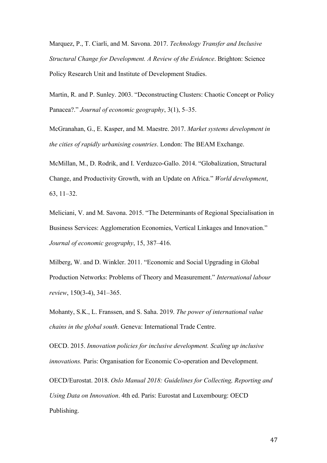Marquez, P., T. Ciarli, and M. Savona. 2017. *Technology Transfer and Inclusive Structural Change for Development. A Review of the Evidence*. Brighton: Science Policy Research Unit and Institute of Development Studies.

Martin, R. and P. Sunley. 2003. "Deconstructing Clusters: Chaotic Concept or Policy Panacea?." *Journal of economic geography*, 3(1), 5–35.

McGranahan, G., E. Kasper, and M. Maestre. 2017. *Market systems development in the cities of rapidly urbanising countries*. London: The BEAM Exchange.

McMillan, M., D. Rodrik, and I. Verduzco-Gallo. 2014. "Globalization, Structural Change, and Productivity Growth, with an Update on Africa." *World development*, 63, 11–32.

Meliciani, V. and M. Savona. 2015. "The Determinants of Regional Specialisation in Business Services: Agglomeration Economies, Vertical Linkages and Innovation." *Journal of economic geography*, 15, 387–416.

Milberg, W. and D. Winkler. 2011. "Economic and Social Upgrading in Global Production Networks: Problems of Theory and Measurement." *International labour review*, 150(3-4), 341–365.

Mohanty, S.K., L. Franssen, and S. Saha. 2019. *The power of international value chains in the global south*. Geneva: International Trade Centre.

OECD. 2015. *Innovation policies for inclusive development. Scaling up inclusive innovations.* Paris: Organisation for Economic Co-operation and Development.

OECD/Eurostat. 2018. *Oslo Manual 2018: Guidelines for Collecting, Reporting and Using Data on Innovation*. 4th ed. Paris: Eurostat and Luxembourg: OECD Publishing.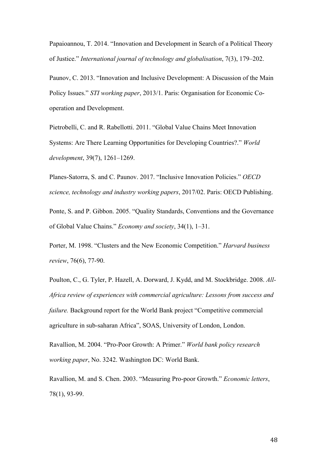Papaioannou, T. 2014. "Innovation and Development in Search of a Political Theory of Justice." *International journal of technology and globalisation*, 7(3), 179–202.

Paunov, C. 2013. "Innovation and Inclusive Development: A Discussion of the Main Policy Issues." *STI working paper*, 2013/1. Paris: Organisation for Economic Cooperation and Development.

Pietrobelli, C. and R. Rabellotti. 2011. "Global Value Chains Meet Innovation Systems: Are There Learning Opportunities for Developing Countries?." *World development*, 39(7), 1261–1269.

Planes-Satorra, S. and C. Paunov. 2017. "Inclusive Innovation Policies." *OECD science, technology and industry working papers*, 2017/02. Paris: OECD Publishing.

Ponte, S. and P. Gibbon. 2005. "Quality Standards, Conventions and the Governance of Global Value Chains." *Economy and society*, 34(1), 1–31.

Porter, M. 1998. "Clusters and the New Economic Competition." *Harvard business review*, 76(6), 77-90.

Poulton, C., G. Tyler, P. Hazell, A. Dorward, J. Kydd, and M. Stockbridge. 2008. *All-Africa review of experiences with commercial agriculture: Lessons from success and failure.* Background report for the World Bank project "Competitive commercial agriculture in sub-saharan Africa", SOAS, University of London, London.

Ravallion, M. 2004. "Pro-Poor Growth: A Primer." *World bank policy research working paper*, No. 3242. Washington DC: World Bank.

Ravallion, M. and S. Chen. 2003. "Measuring Pro-poor Growth." *Economic letters*, 78(1), 93-99.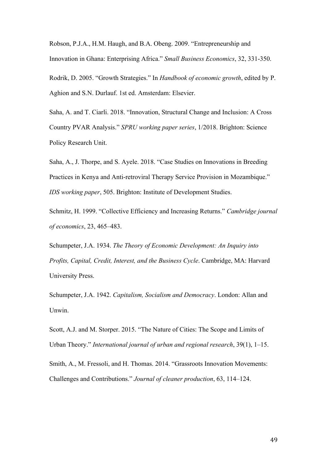Robson, P.J.A., H.M. Haugh, and B.A. Obeng. 2009. "Entrepreneurship and Innovation in Ghana: Enterprising Africa." *Small Business Economics*, 32, 331-350.

Rodrik, D. 2005. "Growth Strategies." In *Handbook of economic growth*, edited by P. Aghion and S.N. Durlauf. 1st ed. Amsterdam: Elsevier.

Saha, A. and T. Ciarli. 2018. "Innovation, Structural Change and Inclusion: A Cross Country PVAR Analysis." *SPRU working paper series*, 1/2018. Brighton: Science Policy Research Unit.

Saha, A., J. Thorpe, and S. Ayele. 2018. "Case Studies on Innovations in Breeding Practices in Kenya and Anti-retroviral Therapy Service Provision in Mozambique." *IDS working paper*, 505. Brighton: Institute of Development Studies.

Schmitz, H. 1999. "Collective Efficiency and Increasing Returns." *Cambridge journal of economics*, 23, 465–483.

Schumpeter, J.A. 1934. *The Theory of Economic Development: An Inquiry into Profits, Capital, Credit, Interest, and the Business Cycle*. Cambridge, MA: Harvard University Press.

Schumpeter, J.A. 1942. *Capitalism, Socialism and Democracy*. London: Allan and Unwin.

Scott, A.J. and M. Storper. 2015. "The Nature of Cities: The Scope and Limits of Urban Theory." *International journal of urban and regional research*, 39(1), 1–15.

Smith, A., M. Fressoli, and H. Thomas. 2014. "Grassroots Innovation Movements: Challenges and Contributions." *Journal of cleaner production*, 63, 114–124.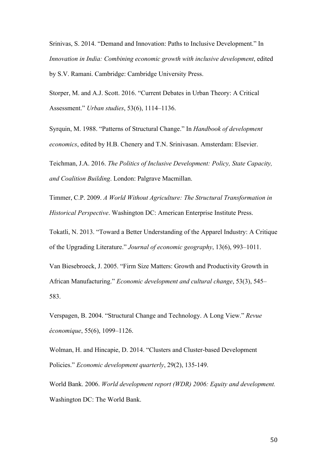Srinivas, S. 2014. "Demand and Innovation: Paths to Inclusive Development." In *Innovation in India: Combining economic growth with inclusive development*, edited by S.V. Ramani. Cambridge: Cambridge University Press.

Storper, M. and A.J. Scott. 2016. "Current Debates in Urban Theory: A Critical Assessment." *Urban studies*, 53(6), 1114–1136.

Syrquin, M. 1988. "Patterns of Structural Change." In *Handbook of development economics*, edited by H.B. Chenery and T.N. Srinivasan. Amsterdam: Elsevier.

Teichman, J.A. 2016. *The Politics of Inclusive Development: Policy, State Capacity, and Coalition Building*. London: Palgrave Macmillan.

Timmer, C.P. 2009. *A World Without Agriculture: The Structural Transformation in Historical Perspective*. Washington DC: American Enterprise Institute Press.

Tokatli, N. 2013. "Toward a Better Understanding of the Apparel Industry: A Critique of the Upgrading Literature." *Journal of economic geography*, 13(6), 993–1011.

Van Biesebroeck, J. 2005. "Firm Size Matters: Growth and Productivity Growth in African Manufacturing." *Economic development and cultural change*, 53(3), 545– 583.

Verspagen, B. 2004. "Structural Change and Technology. A Long View." *Revue économique*, 55(6), 1099–1126.

Wolman, H. and Hincapie, D. 2014. "Clusters and Cluster-based Development Policies." *Economic development quarterly*, 29(2), 135-149.

World Bank. 2006. *World development report (WDR) 2006: Equity and development.* Washington DC: The World Bank.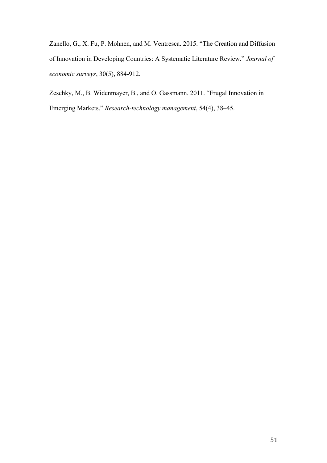Zanello, G., X. Fu, P. Mohnen, and M. Ventresca. 2015. "The Creation and Diffusion of Innovation in Developing Countries: A Systematic Literature Review." *Journal of economic surveys*, 30(5), 884-912.

Zeschky, M., B. Widenmayer, B., and O. Gassmann. 2011. "Frugal Innovation in Emerging Markets." *Research-technology management*, 54(4), 38–45.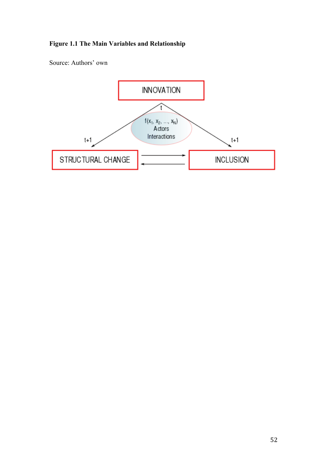# **Figure 1.1 The Main Variables and Relationship**

Source: Authors' own

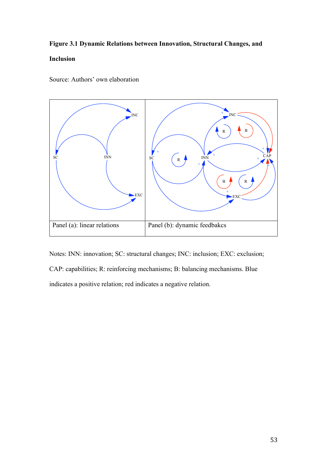# **Figure 3.1 Dynamic Relations between Innovation, Structural Changes, and**

# **Inclusion**



Source: Authors' own elaboration

Notes: INN: innovation; SC: structural changes; INC: inclusion; EXC: exclusion; CAP: capabilities; R: reinforcing mechanisms; B: balancing mechanisms. Blue indicates a positive relation; red indicates a negative relation.